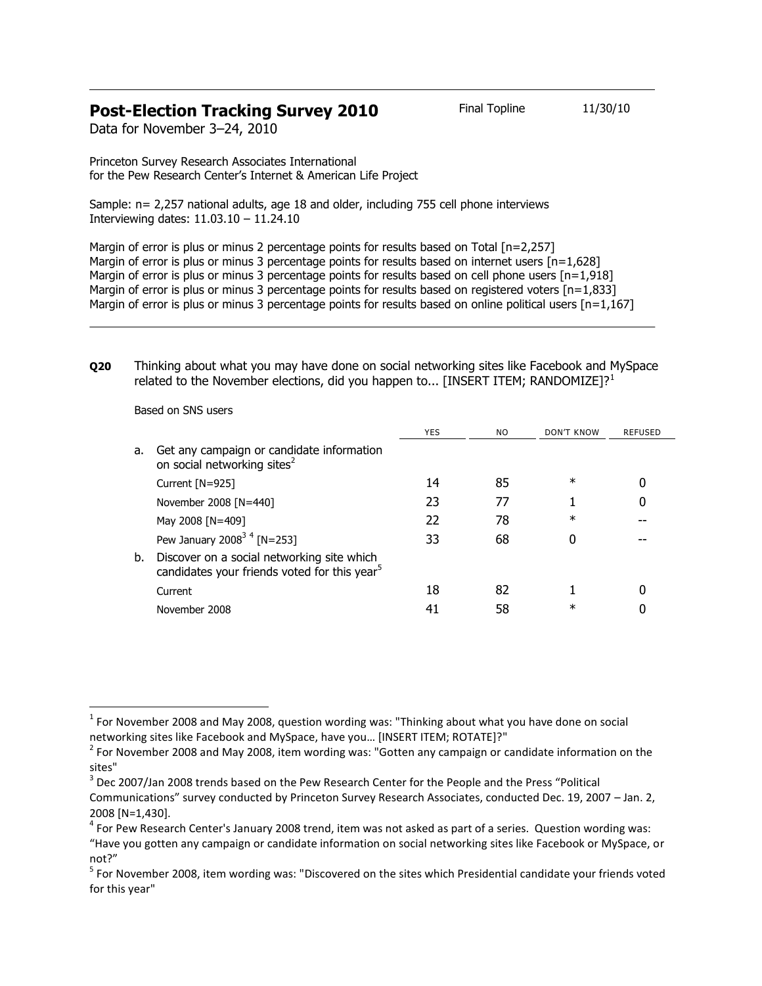## **Post-Election Tracking Survey 2010** Final Topline 11/30/10

Data for November 3–24, 2010

Princeton Survey Research Associates International for the Pew Research Center's Internet & American Life Project

Sample: n= 2,257 national adults, age 18 and older, including 755 cell phone interviews Interviewing dates: 11.03.10 – 11.24.10

Margin of error is plus or minus 2 percentage points for results based on Total [n=2,257] Margin of error is plus or minus 3 percentage points for results based on internet users [n=1,628] Margin of error is plus or minus 3 percentage points for results based on cell phone users  $[n=1.918]$ Margin of error is plus or minus 3 percentage points for results based on registered voters [n=1,833] Margin of error is plus or minus 3 percentage points for results based on online political users [n=1,167]

**Q20** Thinking about what you may have done on social networking sites like Facebook and MySpace related to the November elections, did you happen to... [INSERT ITEM; RANDOMIZE]?<sup>1</sup>

Based on SNS users

 $\overline{a}$ 

|    |                                                                                                        | <b>YES</b> | N <sub>O</sub> | DON'T KNOW | <b>REFUSED</b> |
|----|--------------------------------------------------------------------------------------------------------|------------|----------------|------------|----------------|
| a. | Get any campaign or candidate information<br>on social networking sites <sup>2</sup>                   |            |                |            |                |
|    | Current [N=925]                                                                                        | 14         | 85             | $\ast$     |                |
|    | November 2008 [N=440]                                                                                  | 23         | 77             |            | 0              |
|    | May 2008 [N=409]                                                                                       | 22         | 78             | $\ast$     |                |
|    | Pew January 2008 <sup>34</sup> [N=253]                                                                 | 33         | 68             |            |                |
| b. | Discover on a social networking site which<br>candidates your friends voted for this year <sup>5</sup> |            |                |            |                |
|    | Current                                                                                                | 18         | 82             |            |                |
|    | November 2008                                                                                          | 41         | 58             | $^\ast$    |                |

 $^{1}$  For November 2008 and May 2008, question wording was: "Thinking about what you have done on social networking sites like Facebook and MySpace, have you… [INSERT ITEM; ROTATE]?"

 $^{2}$  For November 2008 and May 2008, item wording was: "Gotten any campaign or candidate information on the sites"

 $3$  Dec 2007/Jan 2008 trends based on the Pew Research Center for the People and the Press "Political Communications" survey conducted by Princeton Survey Research Associates, conducted Dec. 19, 2007 – Jan. 2, 2008 [N=1,430].

<sup>&</sup>lt;sup>4</sup> For Pew Research Center's January 2008 trend, item was not asked as part of a series. Question wording was:

<sup>&</sup>quot;Have you gotten any campaign or candidate information on social networking sites like Facebook or MySpace, or not?"

<sup>&</sup>lt;sup>5</sup> For November 2008, item wording was: "Discovered on the sites which Presidential candidate your friends voted for this year"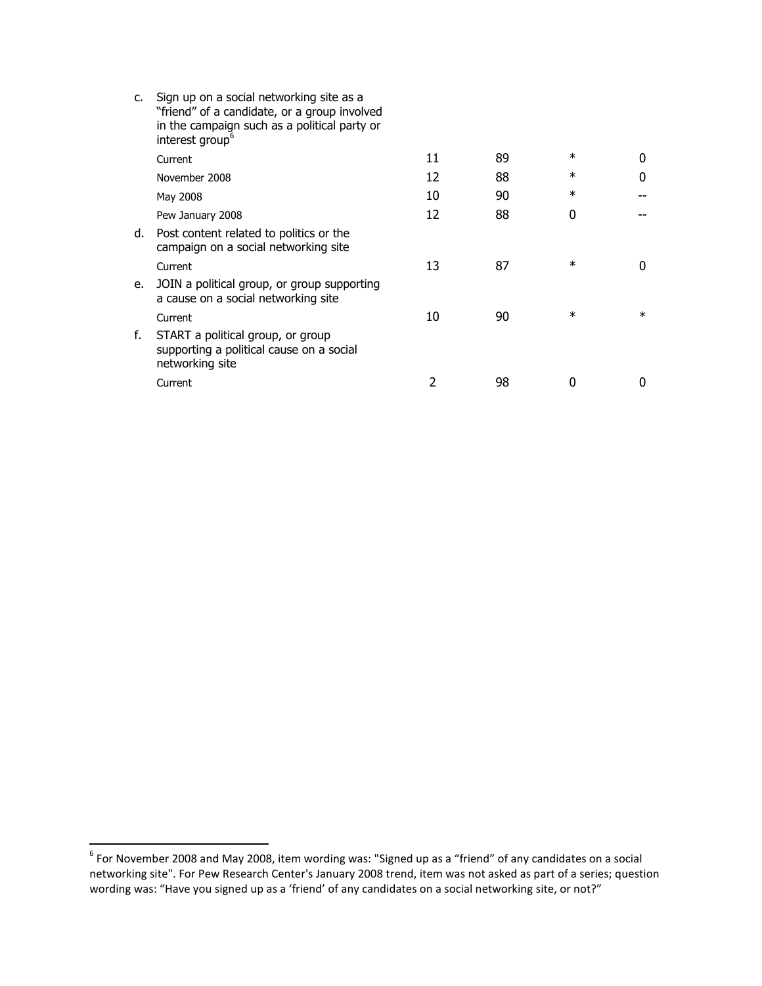| c. | Sign up on a social networking site as a<br>"friend" of a candidate, or a group involved<br>in the campaign such as a political party or<br>interest group <sup>6</sup> |    |    |        |        |
|----|-------------------------------------------------------------------------------------------------------------------------------------------------------------------------|----|----|--------|--------|
|    | Current                                                                                                                                                                 | 11 | 89 | $\ast$ | 0      |
|    | November 2008                                                                                                                                                           | 12 | 88 | $\ast$ | 0      |
|    | May 2008                                                                                                                                                                | 10 | 90 | $\ast$ |        |
|    | Pew January 2008                                                                                                                                                        | 12 | 88 | U      |        |
| d. | Post content related to politics or the<br>campaign on a social networking site                                                                                         |    |    |        |        |
|    | Current                                                                                                                                                                 | 13 | 87 | $\ast$ | 0      |
| e. | JOIN a political group, or group supporting<br>a cause on a social networking site                                                                                      |    |    |        |        |
|    | Current                                                                                                                                                                 | 10 | 90 | $\ast$ | $\ast$ |
| f. | START a political group, or group<br>supporting a political cause on a social<br>networking site                                                                        |    |    |        |        |
|    | Current                                                                                                                                                                 | 2  | 98 | 0      | O      |

 6 For November 2008 and May 2008, item wording was: "Signed up as a "friend" of any candidates on a social networking site". For Pew Research Center's January 2008 trend, item was not asked as part of a series; question wording was: "Have you signed up as a 'friend' of any candidates on a social networking site, or not?"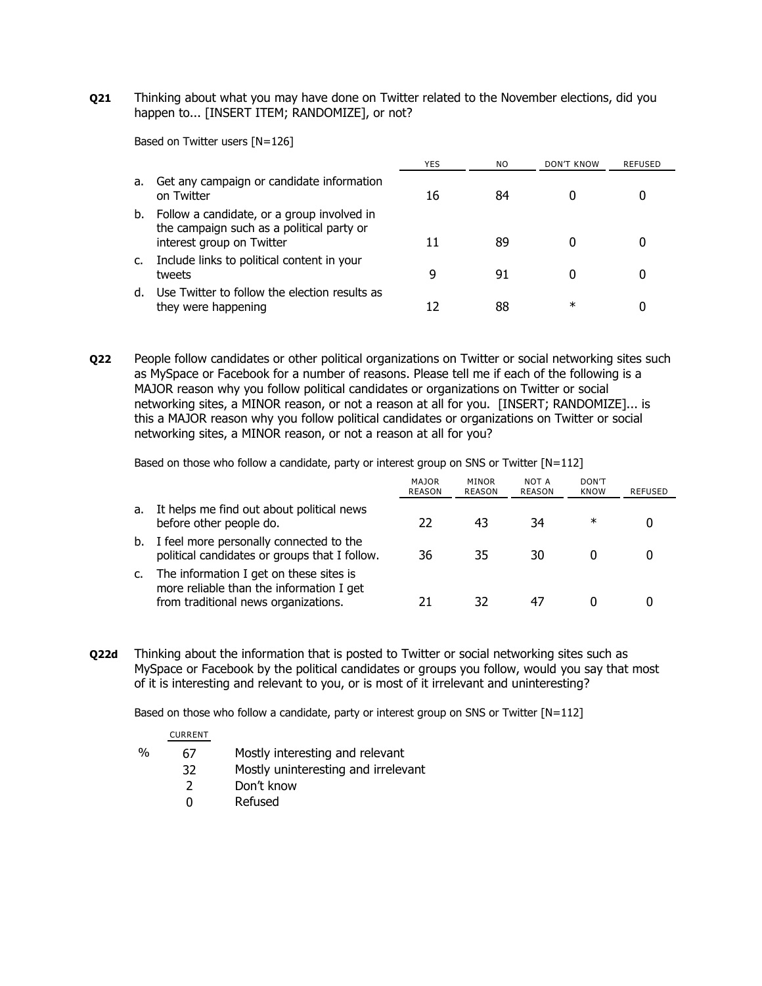**Q21** Thinking about what you may have done on Twitter related to the November elections, did you happen to... [INSERT ITEM; RANDOMIZE], or not?

Based on Twitter users [N=126]

|    |                                                                                                                      | YES | NO. | DON'T KNOW | REFUSED |
|----|----------------------------------------------------------------------------------------------------------------------|-----|-----|------------|---------|
| a. | Get any campaign or candidate information<br>on Twitter                                                              | 16  | 84  |            |         |
| b. | Follow a candidate, or a group involved in<br>the campaign such as a political party or<br>interest group on Twitter |     | 89  |            |         |
|    | Include links to political content in your<br>tweets                                                                 |     | 91  |            |         |
| d. | Use Twitter to follow the election results as<br>they were happening                                                 |     | 88  | $^\ast$    |         |

**Q22** People follow candidates or other political organizations on Twitter or social networking sites such as MySpace or Facebook for a number of reasons. Please tell me if each of the following is a MAJOR reason why you follow political candidates or organizations on Twitter or social networking sites, a MINOR reason, or not a reason at all for you. [INSERT; RANDOMIZE]... is this a MAJOR reason why you follow political candidates or organizations on Twitter or social networking sites, a MINOR reason, or not a reason at all for you?

Based on those who follow a candidate, party or interest group on SNS or Twitter  $[N=112]$ 

|    |                                                                                                                             | <b>MAJOR</b><br><b>REASON</b> | <b>MINOR</b><br>REASON | NOT A<br>REASON | DON'T<br><b>KNOW</b> | <b>REFUSED</b> |
|----|-----------------------------------------------------------------------------------------------------------------------------|-------------------------------|------------------------|-----------------|----------------------|----------------|
| a. | It helps me find out about political news<br>before other people do.                                                        | 22                            | 43                     | 34              | ∗                    |                |
| b. | I feel more personally connected to the<br>political candidates or groups that I follow.                                    | 36                            | 35                     | 30              |                      |                |
| c. | The information I get on these sites is<br>more reliable than the information I get<br>from traditional news organizations. | 21                            | 32                     |                 |                      |                |

**Q22d** Thinking about the information that is posted to Twitter or social networking sites such as MySpace or Facebook by the political candidates or groups you follow, would you say that most of it is interesting and relevant to you, or is most of it irrelevant and uninteresting?

Based on those who follow a candidate, party or interest group on SNS or Twitter [N=112]

|   | <b>CURRENT</b> |                                     |
|---|----------------|-------------------------------------|
| % | 67             | Mostly interesting and relevant     |
|   | 32             | Mostly uninteresting and irrelevant |
|   | $\mathcal{P}$  | Don't know                          |
|   | n              | Refused                             |